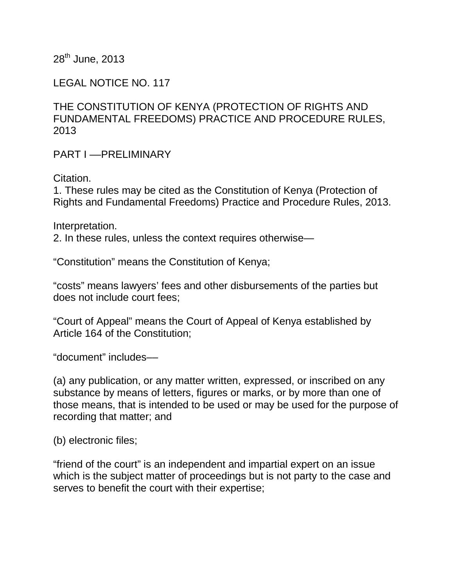28<sup>th</sup> June, 2013

LEGAL NOTICE NO. 117

THE CONSTITUTION OF KENYA (PROTECTION OF RIGHTS AND FUNDAMENTAL FREEDOMS) PRACTICE AND PROCEDURE RULES, 2013

PART I ––PRELIMINARY

Citation.

1. These rules may be cited as the Constitution of Kenya (Protection of Rights and Fundamental Freedoms) Practice and Procedure Rules, 2013.

Interpretation.

2. In these rules, unless the context requires otherwise—

"Constitution" means the Constitution of Kenya;

"costs" means lawyers' fees and other disbursements of the parties but does not include court fees;

"Court of Appeal" means the Court of Appeal of Kenya established by Article 164 of the Constitution;

"document" includes––

(a) any publication, or any matter written, expressed, or inscribed on any substance by means of letters, figures or marks, or by more than one of those means, that is intended to be used or may be used for the purpose of recording that matter; and

(b) electronic files;

"friend of the court" is an independent and impartial expert on an issue which is the subject matter of proceedings but is not party to the case and serves to benefit the court with their expertise;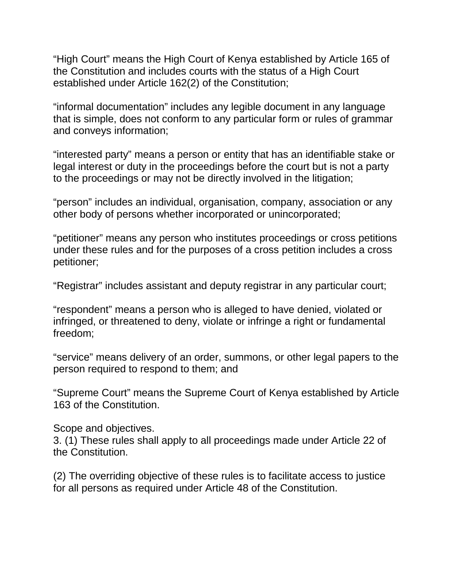"High Court" means the High Court of Kenya established by Article 165 of the Constitution and includes courts with the status of a High Court established under Article 162(2) of the Constitution;

"informal documentation" includes any legible document in any language that is simple, does not conform to any particular form or rules of grammar and conveys information;

"interested party" means a person or entity that has an identifiable stake or legal interest or duty in the proceedings before the court but is not a party to the proceedings or may not be directly involved in the litigation;

"person" includes an individual, organisation, company, association or any other body of persons whether incorporated or unincorporated;

"petitioner" means any person who institutes proceedings or cross petitions under these rules and for the purposes of a cross petition includes a cross petitioner;

"Registrar" includes assistant and deputy registrar in any particular court;

"respondent" means a person who is alleged to have denied, violated or infringed, or threatened to deny, violate or infringe a right or fundamental freedom;

"service" means delivery of an order, summons, or other legal papers to the person required to respond to them; and

"Supreme Court" means the Supreme Court of Kenya established by Article 163 of the Constitution.

Scope and objectives.

3. (1) These rules shall apply to all proceedings made under Article 22 of the Constitution.

(2) The overriding objective of these rules is to facilitate access to justice for all persons as required under Article 48 of the Constitution.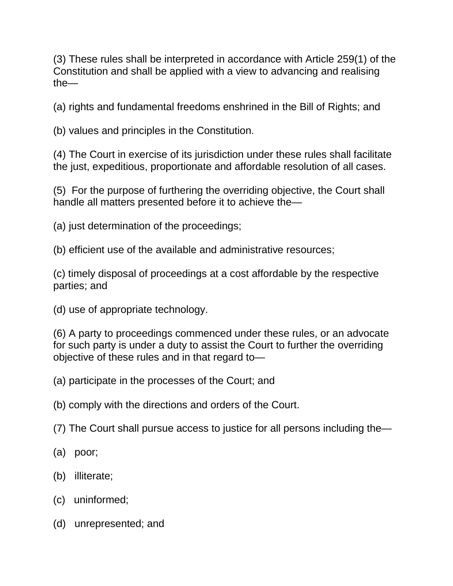(3) These rules shall be interpreted in accordance with Article 259(1) of the Constitution and shall be applied with a view to advancing and realising the—

(a) rights and fundamental freedoms enshrined in the Bill of Rights; and

(b) values and principles in the Constitution.

(4) The Court in exercise of its jurisdiction under these rules shall facilitate the just, expeditious, proportionate and affordable resolution of all cases.

(5) For the purpose of furthering the overriding objective, the Court shall handle all matters presented before it to achieve the—

(a) just determination of the proceedings;

(b) efficient use of the available and administrative resources;

(c) timely disposal of proceedings at a cost affordable by the respective parties; and

(d) use of appropriate technology.

(6) A party to proceedings commenced under these rules, or an advocate for such party is under a duty to assist the Court to further the overriding objective of these rules and in that regard to—

(a) participate in the processes of the Court; and

(b) comply with the directions and orders of the Court.

(7) The Court shall pursue access to justice for all persons including the—

- (a) poor;
- (b) illiterate;
- (c) uninformed;
- (d) unrepresented; and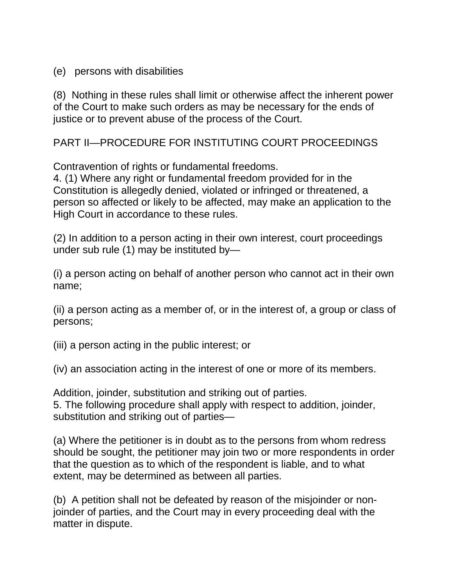(e) persons with disabilities

(8) Nothing in these rules shall limit or otherwise affect the inherent power of the Court to make such orders as may be necessary for the ends of justice or to prevent abuse of the process of the Court.

PART II—PROCEDURE FOR INSTITUTING COURT PROCEEDINGS

Contravention of rights or fundamental freedoms.

4. (1) Where any right or fundamental freedom provided for in the Constitution is allegedly denied, violated or infringed or threatened, a person so affected or likely to be affected, may make an application to the High Court in accordance to these rules.

(2) In addition to a person acting in their own interest, court proceedings under sub rule (1) may be instituted by—

(i) a person acting on behalf of another person who cannot act in their own name;

(ii) a person acting as a member of, or in the interest of, a group or class of persons;

(iii) a person acting in the public interest; or

(iv) an association acting in the interest of one or more of its members.

Addition, joinder, substitution and striking out of parties. 5. The following procedure shall apply with respect to addition, joinder, substitution and striking out of parties—

(a) Where the petitioner is in doubt as to the persons from whom redress should be sought, the petitioner may join two or more respondents in order that the question as to which of the respondent is liable, and to what extent, may be determined as between all parties.

(b) A petition shall not be defeated by reason of the misjoinder or nonjoinder of parties, and the Court may in every proceeding deal with the matter in dispute.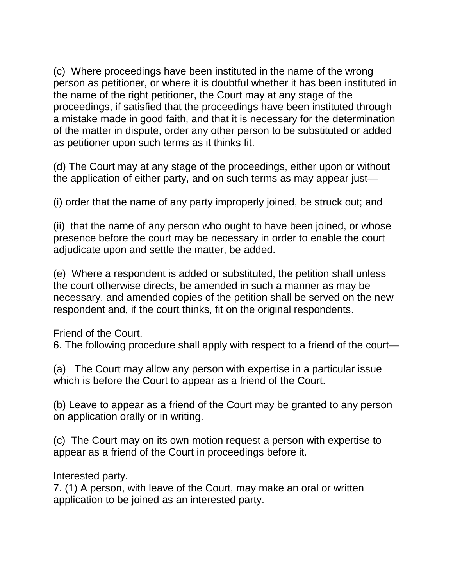(c) Where proceedings have been instituted in the name of the wrong person as petitioner, or where it is doubtful whether it has been instituted in the name of the right petitioner, the Court may at any stage of the proceedings, if satisfied that the proceedings have been instituted through a mistake made in good faith, and that it is necessary for the determination of the matter in dispute, order any other person to be substituted or added as petitioner upon such terms as it thinks fit.

(d) The Court may at any stage of the proceedings, either upon or without the application of either party, and on such terms as may appear just—

(i) order that the name of any party improperly joined, be struck out; and

(ii) that the name of any person who ought to have been joined, or whose presence before the court may be necessary in order to enable the court adjudicate upon and settle the matter, be added.

(e) Where a respondent is added or substituted, the petition shall unless the court otherwise directs, be amended in such a manner as may be necessary, and amended copies of the petition shall be served on the new respondent and, if the court thinks, fit on the original respondents.

Friend of the Court.

6. The following procedure shall apply with respect to a friend of the court—

(a) The Court may allow any person with expertise in a particular issue which is before the Court to appear as a friend of the Court.

(b) Leave to appear as a friend of the Court may be granted to any person on application orally or in writing.

(c) The Court may on its own motion request a person with expertise to appear as a friend of the Court in proceedings before it.

Interested party.

7. (1) A person, with leave of the Court, may make an oral or written application to be joined as an interested party.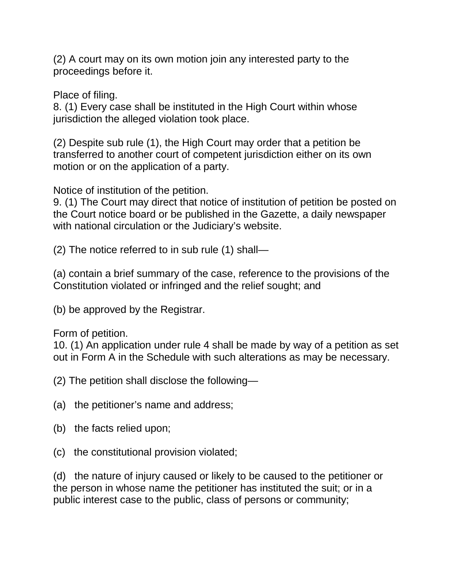(2) A court may on its own motion join any interested party to the proceedings before it.

Place of filing.

8. (1) Every case shall be instituted in the High Court within whose jurisdiction the alleged violation took place.

(2) Despite sub rule (1), the High Court may order that a petition be transferred to another court of competent jurisdiction either on its own motion or on the application of a party.

Notice of institution of the petition.

9. (1) The Court may direct that notice of institution of petition be posted on the Court notice board or be published in the Gazette, a daily newspaper with national circulation or the Judiciary's website.

(2) The notice referred to in sub rule (1) shall—

(a) contain a brief summary of the case, reference to the provisions of the Constitution violated or infringed and the relief sought; and

(b) be approved by the Registrar.

Form of petition.

10. (1) An application under rule 4 shall be made by way of a petition as set out in Form A in the Schedule with such alterations as may be necessary.

(2) The petition shall disclose the following—

- (a) the petitioner's name and address;
- (b) the facts relied upon;
- (c) the constitutional provision violated;

(d) the nature of injury caused or likely to be caused to the petitioner or the person in whose name the petitioner has instituted the suit; or in a public interest case to the public, class of persons or community;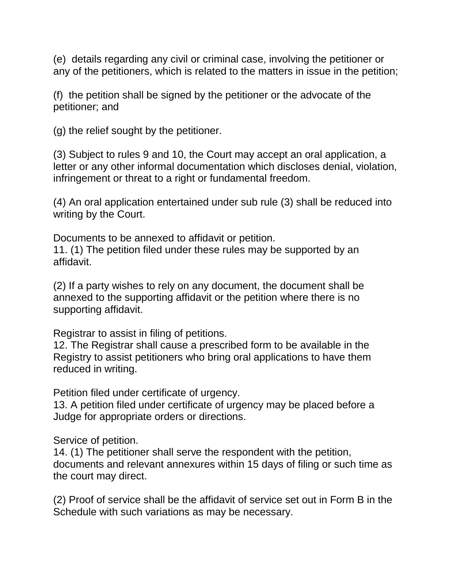(e) details regarding any civil or criminal case, involving the petitioner or any of the petitioners, which is related to the matters in issue in the petition;

(f) the petition shall be signed by the petitioner or the advocate of the petitioner; and

(g) the relief sought by the petitioner.

(3) Subject to rules 9 and 10, the Court may accept an oral application, a letter or any other informal documentation which discloses denial, violation, infringement or threat to a right or fundamental freedom.

(4) An oral application entertained under sub rule (3) shall be reduced into writing by the Court.

Documents to be annexed to affidavit or petition.

11. (1) The petition filed under these rules may be supported by an affidavit.

(2) If a party wishes to rely on any document, the document shall be annexed to the supporting affidavit or the petition where there is no supporting affidavit.

Registrar to assist in filing of petitions.

12. The Registrar shall cause a prescribed form to be available in the Registry to assist petitioners who bring oral applications to have them reduced in writing.

Petition filed under certificate of urgency.

13. A petition filed under certificate of urgency may be placed before a Judge for appropriate orders or directions.

Service of petition.

14. (1) The petitioner shall serve the respondent with the petition, documents and relevant annexures within 15 days of filing or such time as the court may direct.

(2) Proof of service shall be the affidavit of service set out in Form B in the Schedule with such variations as may be necessary.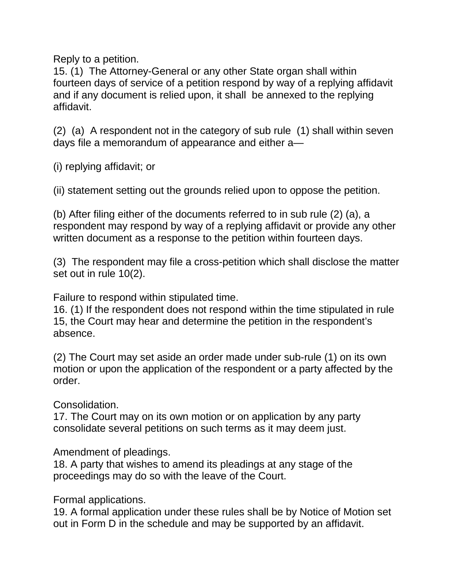Reply to a petition.

15. (1) The Attorney-General or any other State organ shall within fourteen days of service of a petition respond by way of a replying affidavit and if any document is relied upon, it shall be annexed to the replying affidavit.

(2) (a) A respondent not in the category of sub rule (1) shall within seven days file a memorandum of appearance and either a—

(i) replying affidavit; or

(ii) statement setting out the grounds relied upon to oppose the petition.

(b) After filing either of the documents referred to in sub rule (2) (a), a respondent may respond by way of a replying affidavit or provide any other written document as a response to the petition within fourteen days.

(3) The respondent may file a cross-petition which shall disclose the matter set out in rule 10(2).

Failure to respond within stipulated time.

16. (1) If the respondent does not respond within the time stipulated in rule 15, the Court may hear and determine the petition in the respondent's absence.

(2) The Court may set aside an order made under sub-rule (1) on its own motion or upon the application of the respondent or a party affected by the order.

Consolidation.

17. The Court may on its own motion or on application by any party consolidate several petitions on such terms as it may deem just.

Amendment of pleadings.

18. A party that wishes to amend its pleadings at any stage of the proceedings may do so with the leave of the Court.

Formal applications.

19. A formal application under these rules shall be by Notice of Motion set out in Form D in the schedule and may be supported by an affidavit.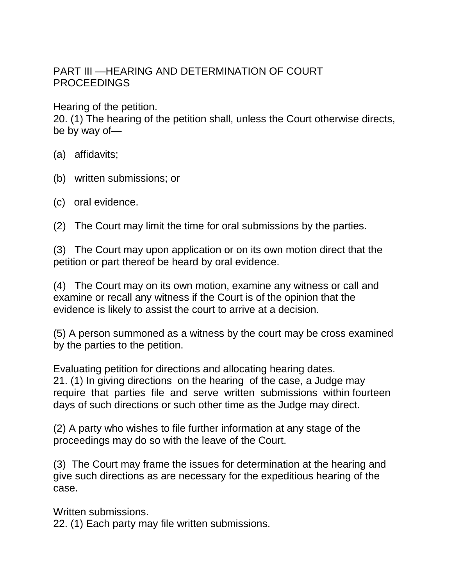## PART III —HEARING AND DETERMINATION OF COURT PROCEEDINGS

Hearing of the petition.

20. (1) The hearing of the petition shall, unless the Court otherwise directs, be by way of—

- (a) affidavits;
- (b) written submissions; or
- (c) oral evidence.
- (2) The Court may limit the time for oral submissions by the parties.

(3) The Court may upon application or on its own motion direct that the petition or part thereof be heard by oral evidence.

(4) The Court may on its own motion, examine any witness or call and examine or recall any witness if the Court is of the opinion that the evidence is likely to assist the court to arrive at a decision.

(5) A person summoned as a witness by the court may be cross examined by the parties to the petition.

Evaluating petition for directions and allocating hearing dates. 21. (1) In giving directions on the hearing of the case, a Judge may require that parties file and serve written submissions within fourteen days of such directions or such other time as the Judge may direct.

(2) A party who wishes to file further information at any stage of the proceedings may do so with the leave of the Court.

(3) The Court may frame the issues for determination at the hearing and give such directions as are necessary for the expeditious hearing of the case.

Written submissions.

22. (1) Each party may file written submissions.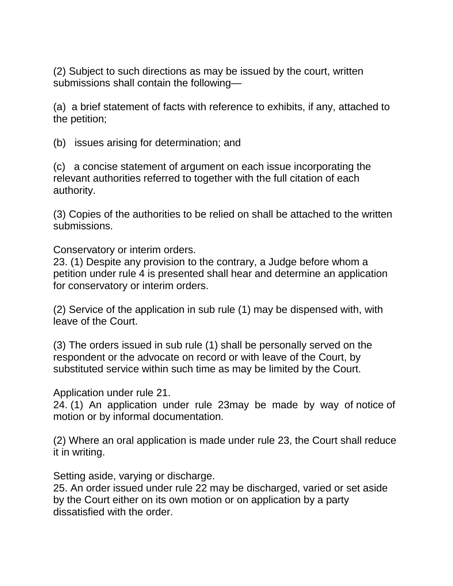(2) Subject to such directions as may be issued by the court, written submissions shall contain the following—

(a) a brief statement of facts with reference to exhibits, if any, attached to the petition;

(b) issues arising for determination; and

(c) a concise statement of argument on each issue incorporating the relevant authorities referred to together with the full citation of each authority.

(3) Copies of the authorities to be relied on shall be attached to the written submissions.

Conservatory or interim orders.

23. (1) Despite any provision to the contrary, a Judge before whom a petition under rule 4 is presented shall hear and determine an application for conservatory or interim orders.

(2) Service of the application in sub rule (1) may be dispensed with, with leave of the Court.

(3) The orders issued in sub rule (1) shall be personally served on the respondent or the advocate on record or with leave of the Court, by substituted service within such time as may be limited by the Court.

Application under rule 21.

24. (1) An application under rule 23may be made by way of notice of motion or by informal documentation.

(2) Where an oral application is made under rule 23, the Court shall reduce it in writing.

Setting aside, varying or discharge.

25. An order issued under rule 22 may be discharged, varied or set aside by the Court either on its own motion or on application by a party dissatisfied with the order.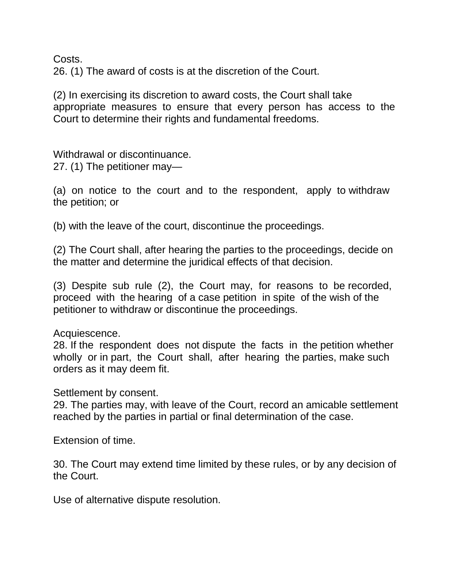Costs.

26. (1) The award of costs is at the discretion of the Court.

(2) In exercising its discretion to award costs, the Court shall take appropriate measures to ensure that every person has access to the Court to determine their rights and fundamental freedoms.

Withdrawal or discontinuance. 27. (1) The petitioner may—

(a) on notice to the court and to the respondent, apply to withdraw the petition; or

(b) with the leave of the court, discontinue the proceedings.

(2) The Court shall, after hearing the parties to the proceedings, decide on the matter and determine the juridical effects of that decision.

(3) Despite sub rule (2), the Court may, for reasons to be recorded, proceed with the hearing of a case petition in spite of the wish of the petitioner to withdraw or discontinue the proceedings.

## Acquiescence.

28. If the respondent does not dispute the facts in the petition whether wholly or in part, the Court shall, after hearing the parties, make such orders as it may deem fit.

Settlement by consent.

29. The parties may, with leave of the Court, record an amicable settlement reached by the parties in partial or final determination of the case.

Extension of time.

30. The Court may extend time limited by these rules, or by any decision of the Court.

Use of alternative dispute resolution.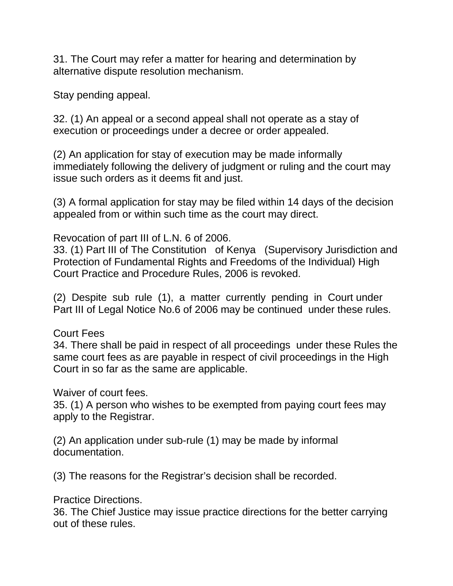31. The Court may refer a matter for hearing and determination by alternative dispute resolution mechanism.

Stay pending appeal.

32. (1) An appeal or a second appeal shall not operate as a stay of execution or proceedings under a decree or order appealed.

(2) An application for stay of execution may be made informally immediately following the delivery of judgment or ruling and the court may issue such orders as it deems fit and just.

(3) A formal application for stay may be filed within 14 days of the decision appealed from or within such time as the court may direct.

Revocation of part III of L.N. 6 of 2006.

33. (1) Part III of The Constitution of Kenya (Supervisory Jurisdiction and Protection of Fundamental Rights and Freedoms of the Individual) High Court Practice and Procedure Rules, 2006 is revoked.

(2) Despite sub rule (1), a matter currently pending in Court under Part III of Legal Notice No.6 of 2006 may be continued under these rules.

Court Fees

34. There shall be paid in respect of all proceedings under these Rules the same court fees as are payable in respect of civil proceedings in the High Court in so far as the same are applicable.

Waiver of court fees.

35. (1) A person who wishes to be exempted from paying court fees may apply to the Registrar.

(2) An application under sub-rule (1) may be made by informal documentation.

(3) The reasons for the Registrar's decision shall be recorded.

Practice Directions.

36. The Chief Justice may issue practice directions for the better carrying out of these rules.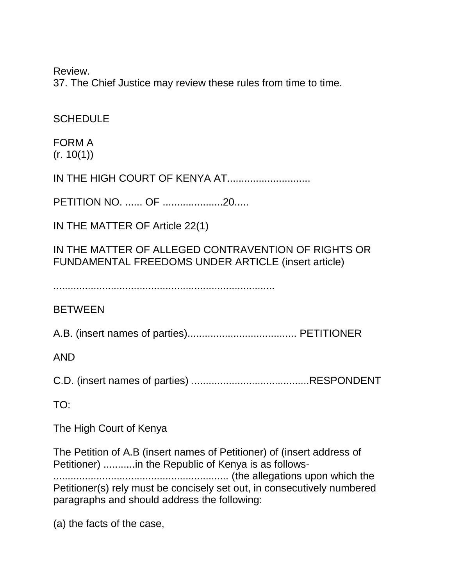Review.

37. The Chief Justice may review these rules from time to time.

**SCHEDULE** 

FORM A  $(r. 10(1))$ 

IN THE HIGH COURT OF KENYA AT.............................

PETITION NO. ...... OF .....................20.....

IN THE MATTER OF Article 22(1)

IN THE MATTER OF ALLEGED CONTRAVENTION OF RIGHTS OR FUNDAMENTAL FREEDOMS UNDER ARTICLE (insert article)

.............................................................................

**BETWEEN** 

A.B. (insert names of parties)...................................... PETITIONER

AND

C.D. (insert names of parties) .........................................RESPONDENT

TO:

The High Court of Kenya

The Petition of A.B (insert names of Petitioner) of (insert address of Petitioner) ...........in the Republic of Kenya is as follows- ............................................................. (the allegations upon which the Petitioner(s) rely must be concisely set out, in consecutively numbered paragraphs and should address the following:

(a) the facts of the case,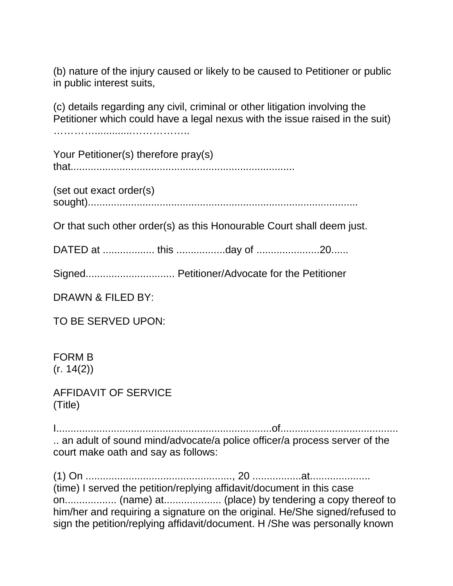(b) nature of the injury caused or likely to be caused to Petitioner or public in public interest suits,

(c) details regarding any civil, criminal or other litigation involving the Petitioner which could have a legal nexus with the issue raised in the suit)

………….............……………..

Your Petitioner(s) therefore pray(s) that..............................................................................

(set out exact order(s) sought)..............................................................................................

Or that such other order(s) as this Honourable Court shall deem just.

DATED at .................. this .................day of ......................20......

Signed............................... Petitioner/Advocate for the Petitioner

DRAWN & FILED BY:

TO BE SERVED UPON:

FORM B (r. 14(2))

AFFIDAVIT OF SERVICE (Title)

I...........................................................................of......................................... .. an adult of sound mind/advocate/a police officer/a process server of the court make oath and say as follows:

(1) On ..................................................., 20 .................at..................... (time) I served the petition/replying affidavit/document in this case on.................. (name) at.................... (place) by tendering a copy thereof to him/her and requiring a signature on the original. He/She signed/refused to sign the petition/replying affidavit/document. H /She was personally known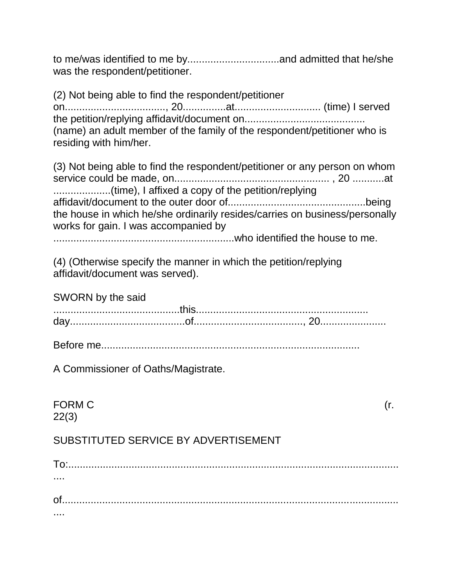to me/was identified to me by................................and admitted that he/she was the respondent/petitioner.

(2) Not being able to find the respondent/petitioner on..................................., 20...............at.............................. (time) I served the petition/replying affidavit/document on.......................................... (name) an adult member of the family of the respondent/petitioner who is residing with him/her.

(3) Not being able to find the respondent/petitioner or any person on whom service could be made, on...................................................... , 20 ...........at ........................(time), I affixed a copy of the petition/replying affidavit/document to the outer door of................................................being the house in which he/she ordinarily resides/carries on business/personally works for gain. I was accompanied by

...............................................................who identified the house to me.

(4) (Otherwise specify the manner in which the petition/replying affidavit/document was served).

SWORN by the said ............................................this............................................................ day........................................of......................................, 20.......................

Before me..........................................................................................

A Commissioner of Oaths/Magistrate.

FORM C  $(r.$ 22(3) SUBSTITUTED SERVICE BY ADVERTISEMENT To:................................................................................................................... ....

of..................................................................................................................... ....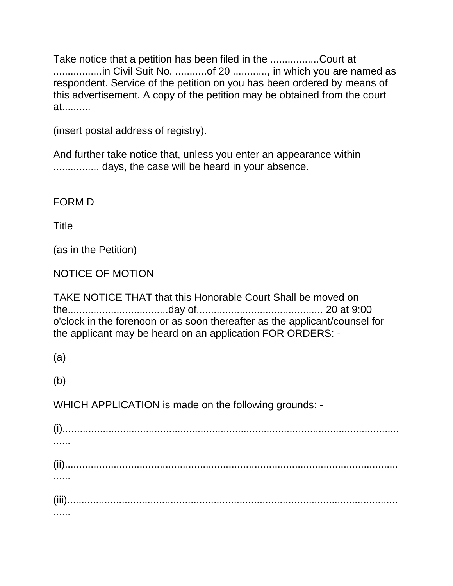Take notice that a petition has been filed in the .................Court at .................in Civil Suit No. ...........of 20 ............, in which you are named as respondent. Service of the petition on you has been ordered by means of this advertisement. A copy of the petition may be obtained from the court at..........

(insert postal address of registry).

And further take notice that, unless you enter an appearance within ................ days, the case will be heard in your absence.

FORM D

**Title** 

(as in the Petition)

NOTICE OF MOTION

TAKE NOTICE THAT that this Honorable Court Shall be moved on the...................................day of............................................ 20 at 9:00 o'clock in the forenoon or as soon thereafter as the applicant/counsel for the applicant may be heard on an application FOR ORDERS: -

(a)

(b)

WHICH APPLICATION is made on the following grounds: -